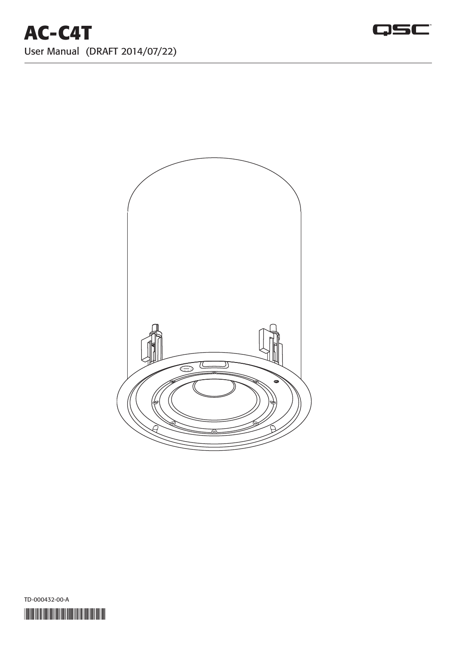# **AC-C4T** User Manual (DRAFT 2014/07/22)







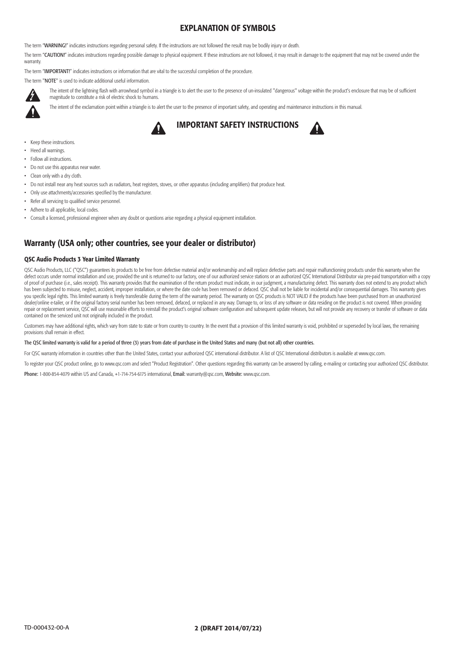#### TD-000432-00-A 2 (DRAFT 2014/07/22)

### EXPLANATION OF SYMBOLS

The term "WARNING!" indicates instructions regarding personal safety. If the instructions are not followed the result may be bodily injury or death.

The term "CAUTION!" indicates instructions regarding possible damage to physical equipment. If these instructions are not followed, it may result in damage to the equipment that may not be covered under the warranty.

The intent of the lightning flash with arrowhead symbol in a triangle is to alert the user to the presence of un-insulated "dangerous" voltage within the product's enclosure that may be of sufficient magnitude to constitute a risk of electric shock to humans.

The term "IMPORTANT!" indicates instructions or information that are vital to the successful completion of the procedure.

The term "NOTE" is used to indicate additional useful information.



The intent of the exclamation point within a triangle is to alert the user to the presence of important safety, and operating and maintenance instructions in this manual.





- Keep these instructions.
- Heed all warnings.
- Follow all instructions.
- Do not use this apparatus near water.
- Clean only with a dry cloth.
- Do not install near any heat sources such as radiators, heat registers, stoves, or other apparatus (including amplifiers) that produce heat.
- Only use attachments/accessories specified by the manufacturer.
- Refer all servicing to qualified service personnel.
- Adhere to all applicable, local codes.
- Consult a licensed, professional engineer when any doubt or questions arise regarding a physical equipment installation.

QSC Audio Products, LLC ("QSC") guarantees its products to be free from defective material and/or workmanship and will replace defective parts and repair malfunctioning products under this warranty when the defect occurs under normal installation and use, provided the unit is returned to our factory, one of our authorized service stations or an authorized QSC International Distributor via pre-paid transportation with a copy of proof of purchase (i.e., sales receipt). This warranty provides that the examination of the return product must indicate, in our judgment, a manufacturing defect. This warranty does not extend to any product which has been subjected to misuse, neglect, accident, improper installation, or where the date code has been removed or defaced. QSC shall not be liable for incidental and/or consequential damages. This warranty gives you specific legal rights. This limited warranty is freely transferable during the term of the warranty period. The warranty on QSC products is NOT VALID if the products have been purchased from an unauthorized dealer/online e-tailer, or if the original factory serial number has been removed, defaced, or replaced in any way. Damage to, or loss of any software or data residing on the product is not covered. When providing repair or replacement service, QSC will use reasonable efforts to reinstall the product's original software configuration and subsequent update releases, but will not provide any recovery or transfer of software or data contained on the serviced unit not originally included in the product.

### Warranty (USA only; other countries, see your dealer or distributor)

#### QSC Audio Products 3 Year Limited Warranty

Customers may have additional rights, which vary from state to state or from country to country. In the event that a provision of this limited warranty is void, prohibited or superseded by local laws, the remaining provisions shall remain in effect.

#### The QSC limited warranty is valid for a period of three (3) years from date of purchase in the United States and many (but not all) other countries.

For QSC warranty information in countries other than the United States, contact your authorized QSC international distributor. A list of QSC International distributors is available at www.qsc.com.

To register your QSC product online, go to www.qsc.com and select "Product Registration". Other questions regarding this warranty can be answered by calling, e-mailing or contacting your authorized QSC distributor.

Phone: 1-800-854-4079 within US and Canada, +1-714-754-6175 international, Email: warranty@qsc.com, Website: www.qsc.com.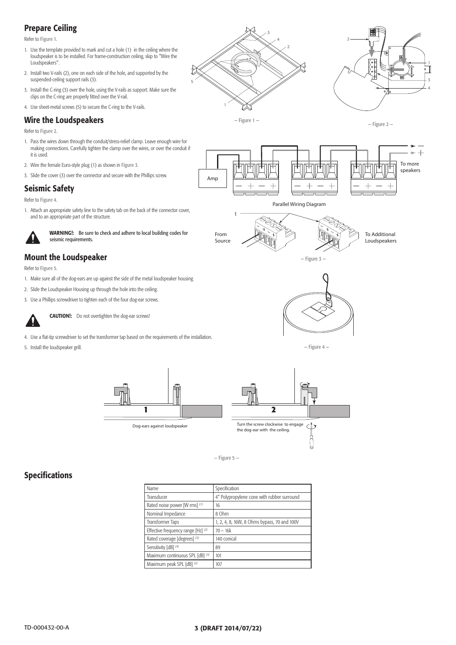# Prepare Ceiling

Refer to Figure 1.

- 1. Use the template provided to mark and cut a hole (1) in the ceiling where the loudspeaker is to be installed. For frame-construction ceiling, skip to "Wire the Loudspeakers".
- 2. Install two V-rails (2), one on each side of the hole, and supported by the suspended-ceiling support rails (3).
- 3. Install the C-ring (3) over the hole, using the V-rails as support. Make sure the clips on the C-ring are properly fitted over the V-rail.
- 4. Use sheet-metal screws (5) to secure the C-ring to the V-rails.

## Wire the Loudspeakers

WARNING!: Be sure to check and adhere to local building codes for seismic requirements.

Refer to Figure 2.

- 1. Pass the wires down through the conduit/stress-relief clamp. Leave enough wire for making connections. Carefully tighten the clamp over the wires, or over the conduit if it is used.
- 2. Wire the female Euro-style plug (1) as shown in Figure 3.
- 3. Slide the cover (3) over the connector and secure with the Phillips screw.

## Seismic Safety

Refer to Figure 4.

1. Attach an appropriate safety line to the safety tab on the back of the connector cover, and to an appropriate part of the structure.

# Mount the Loudspeaker

Refer to Figure 5.

- 1. Make sure all of the dog-ears are up against the side of the metal loudspeaker housing.
- 2. Slide the Loudspeaker Housing up through the hole into the ceiling.
- 3. Use a Phillips screwdriver to tighten each of the four dog-ear screws.



**CAUTION!:** Do not overtighten the dog-ear screws!

- 4. Use a flat-tip screwdriver to set the transformer tap based on the requirements of the installation.
- 5. Install the loudspeaker grill.

# Specifications

| Name                               | Specification                               |
|------------------------------------|---------------------------------------------|
| Transducer                         | 4" Polypropylene cone with rubber surround  |
| Rated noise power [W rms] (1)      | 16                                          |
| Nominal Impedance                  | 8 Ohm                                       |
| Transformer Taps                   | 1, 2, 4, 8, 16W, 8 Ohms bypass, 70 and 100V |
| Effective frequency range [Hz] (2) | $70 - 16k$                                  |
| Rated coverage [degrees] (3)       | 140 conical                                 |
| Sensitivity [dB] (4)               | 89                                          |
| Maximum continuous SPL [dB] (5)    | 101                                         |
| Maximum peak SPL [dB] (5)          | 107                                         |

### TD-000432-00-A 3 (DRAFT 2014/07/22)

— Figure 1 —

1

2

3

4

5

— Figure 2 —



— Figure 3 —



Parallel Wiring Diagram



From Source



1

— Figure 4 —

— Figure 5 —